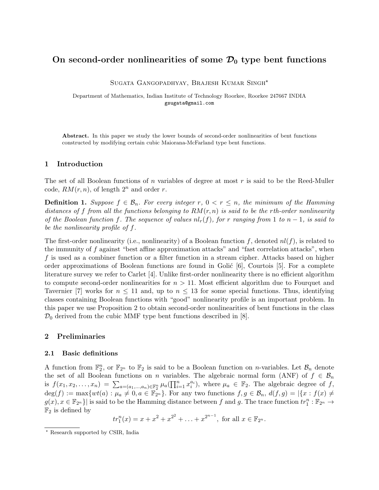### On second-order nonlinearities of some  $\mathcal{D}_0$  type bent functions

Sugata Gangopadhyay, Brajesh Kumar Singh?

Department of Mathematics, Indian Institute of Technology Roorkee, Roorkee 247667 INDIA gsugata@gmail.com

Abstract. In this paper we study the lower bounds of second-order nonlinearities of bent functions constructed by modifying certain cubic Maiorana-McFarland type bent functions.

#### 1 Introduction

The set of all Boolean functions of n variables of degree at most  $r$  is said to be the Reed-Muller code,  $RM(r, n)$ , of length  $2^n$  and order r.

**Definition 1.** Suppose  $f \in \mathcal{B}_n$ . For every integer r,  $0 < r \leq n$ , the minimum of the Hamming distances of f from all the functions belonging to  $RM(r, n)$  is said to be the rth-order nonlinearity of the Boolean function f. The sequence of values  $nl_r(f)$ , for r ranging from 1 to  $n-1$ , is said to be the nonlinearity profile of f.

The first-order nonlinearity (i.e., nonlinearity) of a Boolean function f, denoted  $nl(f)$ , is related to the immunity of f against "best affine approximation attacks" and "fast correlation attacks", when  $f$  is used as a combiner function or a filter function in a stream cipher. Attacks based on higher order approximations of Boolean functions are found in Golić  $[6]$ , Courtois  $[5]$ . For a complete literature survey we refer to Carlet [4]. Unlike first-order nonlinearity there is no efficient algorithm to compute second-order nonlinearities for  $n > 11$ . Most efficient algorithm due to Fourquet and Tavernier [7] works for  $n \leq 11$  and, up to  $n \leq 13$  for some special functions. Thus, identifying classes containing Boolean functions with "good" nonlinearity profile is an important problem. In this paper we use Proposition 2 to obtain second-order nonlinearities of bent functions in the class  $\mathcal{D}_0$  derived from the cubic MMF type bent functions described in [8].

#### 2 Preliminaries

#### 2.1 Basic definitions

A function from  $\mathbb{F}_2^n$ , or  $\mathbb{F}_{2^n}$  to  $\mathbb{F}_2$  is said to be a Boolean function on *n*-variables. Let  $\mathcal{B}_n$  denote the set of all Boolean functions on n variables. The algebraic normal form (ANF) of  $f \in \mathcal{B}_n$ is  $f(x_1, x_2, \ldots, x_n) = \sum_{a=(a_1,\ldots,a_n)\in\mathbb{F}_2^n} \mu_a(\prod_{i=1}^n x_i^{a_i}),$  where  $\mu_a \in \mathbb{F}_2$ . The algebraic degree of f,  $\deg(f) := \max \{wt(a) : \mu_a \neq 0, a \in \mathbb{F}_{2^n} \}.$  For any two functions  $f, g \in \mathcal{B}_n$ ,  $d(f, g) = |\{x : f(x) \neq 0, a \in \mathbb{F}_{2^n} \}$ .  $g(x), x \in \mathbb{F}_{2^n}$  is said to be the Hamming distance between f and g. The trace function  $tr_1^n : \mathbb{F}_{2^n} \to$  $\mathbb{F}_2$  is defined by

$$
tr_1^n(x) = x + x^2 + x^{2^2} + \ldots + x^{2^{n-1}}
$$
, for all  $x \in \mathbb{F}_{2^n}$ .

<sup>?</sup> Research supported by CSIR, India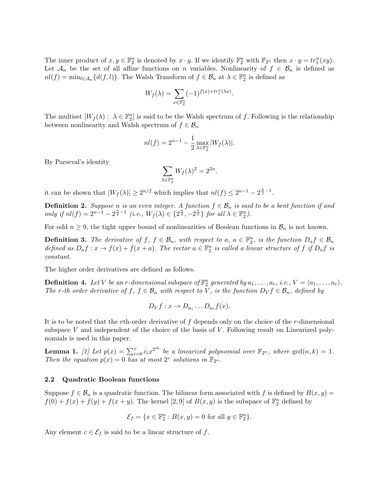The inner product of  $x, y \in \mathbb{F}_2^n$  is denoted by  $x \cdot y$ . If we identify  $\mathbb{F}_2^n$  with  $\mathbb{F}_{2^n}$  then  $x \cdot y = tr_1^n(xy)$ . Let  $\mathcal{A}_n$  be the set of all affine functions on n variables. Nonlinearity of  $f \in \mathcal{B}_n$  is defined as  $nl(f) = \min_{l \in \mathcal{A}_n} \{d(f, l)\}\.$  The Walsh Transform of  $f \in \mathcal{B}_n$  at  $\lambda \in \mathbb{F}_2^n$  is defined as

$$
W_f(\lambda) = \sum_{x \in \mathbb{F}_2^n} (-1)^{f(x) + tr_1^n(\lambda x)}.
$$

The multiset  $[W_f(\lambda): \lambda \in \mathbb{F}_2^n]$  is said to be the Walsh spectrum of f. Following is the relationship between nonlinearity and Walsh spectrum of  $f \in \mathcal{B}_n$ 

$$
nl(f) = 2^{n-1} - \frac{1}{2} \max_{\lambda \in \mathbb{F}_2^n} |W_f(\lambda)|.
$$

By Parseval's identity

$$
\sum_{\lambda \in \mathbb{F}_2^n} W_f(\lambda)^2 = 2^{2n}
$$

.

it can be shown that  $|W_f(\lambda)| \geq 2^{n/2}$  which implies that  $nl(f) \leq 2^{n-1} - 2^{\frac{n}{2}-1}$ .

**Definition 2.** Suppose n is an even integer. A function  $f \in \mathcal{B}_n$  is said to be a bent function if and only if  $nl(f) = 2^{n-1} - 2^{\frac{n}{2}-1}$  (i.e.,  $W_f(\lambda) \in \{2^{\frac{n}{2}}, -2^{\frac{n}{2}}\}$  for all  $\lambda \in \mathbb{F}_2^n$ ).

For odd  $n \geq 9$ , the tight upper bound of nonlinearities of Boolean functions in  $\mathcal{B}_n$  is not known.

**Definition 3.** The derivative of  $f, f \in \mathcal{B}_n$ , with respect to  $a, a \in \mathbb{F}_2^n$ , is the function  $D_a f \in \mathcal{B}_n$ defined as  $D_a f : x \to f(x) + f(x+a)$ . The vector  $a \in \mathbb{F}_2^n$  is called a linear structure of f if  $D_a f$  is constant.

The higher order derivatives are defined as follows.

**Definition 4.** Let V be an r-dimensional subspace of  $\mathbb{F}_2^n$  generated by  $a_1, \ldots, a_r$ , i.e.,  $V = \langle a_1, \ldots, a_r \rangle$ . The r-th order derivative of f,  $f \in \mathcal{B}_n$  with respect to V, is the function  $D_V f \in \mathcal{B}_n$ , defined by

$$
D_Vf: x \to D_{a_1} \dots D_{a_r}f(x).
$$

It is to be noted that the rth-order derivative of f depends only on the choice of the r-dimensional subspace  $V$  and independent of the choice of the basis of  $V$ . Following result on Linearized polynomials is used in this paper.

**Lemma 1.** [1] Let  $p(x) = \sum_{i=0}^{v} c_i x^{2^{ik}}$  be a linearized polynomial over  $\mathbb{F}_{2^n}$ , where  $gcd(n, k) = 1$ . Then the equation  $p(x) = 0$  has at most  $2^v$  solutions in  $\mathbb{F}_{2^n}$ .

#### 2.2 Quadratic Boolean functions

Suppose  $f \in \mathcal{B}_n$  is a quadratic function. The bilinear form associated with f is defined by  $B(x, y) =$  $f(0) + f(x) + f(y) + f(x + y)$ . The kernel [2,9] of  $B(x, y)$  is the subspace of  $\mathbb{F}_2^n$  defined by

$$
\mathcal{E}_f = \{ x \in \mathbb{F}_2^n : B(x, y) = 0 \text{ for all } y \in \mathbb{F}_2^n \}.
$$

Any element  $c \in \mathcal{E}_f$  is said to be a linear structure of f.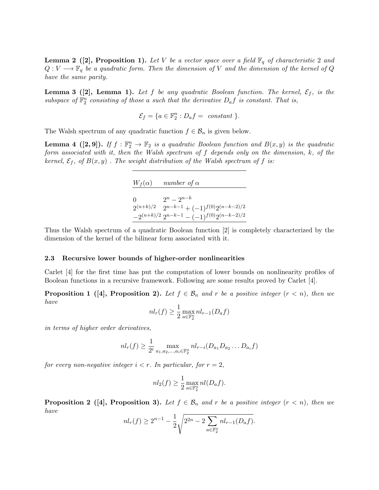**Lemma 2** ([2], Proposition 1). Let V be a vector space over a field  $\mathbb{F}_q$  of characteristic 2 and  $Q: V \longrightarrow \mathbb{F}_q$  be a quadratic form. Then the dimension of V and the dimension of the kernel of Q have the same parity.

**Lemma 3** ([2], Lemma 1). Let f be any quadratic Boolean function. The kernel,  $\mathcal{E}_f$ , is the subspace of  $\mathbb{F}_2^n$  consisting of those a such that the derivative  $D_a f$  is constant. That is,

$$
\mathcal{E}_f = \{a \in \mathbb{F}_2^n : D_a f = \text{ constant } \}.
$$

The Walsh spectrum of any quadratic function  $f \in \mathcal{B}_n$  is given below.

**Lemma 4** ([2, 9]). If  $f : \mathbb{F}_2^n \to \mathbb{F}_2$  is a quadratic Boolean function and  $B(x, y)$  is the quadratic form associated with it, then the Walsh spectrum of f depends only on the dimension, k, of the kernel,  $\mathcal{E}_f$ , of  $B(x, y)$ . The weight distribution of the Walsh spectrum of f is:

> $W_f(\alpha)$  number of  $\alpha$ 0  $2^n - 2^{n-k}$  $2^{(n+k)/2}$   $2^{n-k-1}$  +  $(-1)^{f(0)}2^{(n-k-2)/2}$  $-2^{(n+k)/2} 2^{n-k-1} - (-1)^{f(0)} 2^{(n-k-2)/2}$

Thus the Walsh spectrum of a quadratic Boolean function [2] is completely characterized by the dimension of the kernel of the bilinear form associated with it.

#### 2.3 Recursive lower bounds of higher-order nonlinearities

Carlet [4] for the first time has put the computation of lower bounds on nonlinearity profiles of Boolean functions in a recursive framework. Following are some results proved by Carlet [4].

**Proposition 1** ([4], Proposition 2). Let  $f \in \mathcal{B}_n$  and r be a positive integer  $(r < n)$ , then we have

$$
nl_r(f) \ge \frac{1}{2} \max_{a \in \mathbb{F}_2^n} nl_{r-1}(D_a f)
$$

in terms of higher order derivatives,

$$
nl_r(f) \ge \frac{1}{2^i} \max_{a_1, a_2, ..., a_i \in \mathbb{F}_2^n} nl_{r-i}(D_{a_1}D_{a_2}...D_{a_i}f)
$$

for every non-negative integer  $i < r$ . In particular, for  $r = 2$ ,

$$
nl_2(f) \ge \frac{1}{2} \max_{a \in \mathbb{F}_2^n} nl(D_a f).
$$

**Proposition 2** ([4], Proposition 3). Let  $f \in \mathcal{B}_n$  and r be a positive integer  $(r < n)$ , then we have

$$
nl_r(f) \ge 2^{n-1} - \frac{1}{2} \sqrt{2^{2n} - 2 \sum_{a \in \mathbb{F}_2^n} nl_{r-1}(D_a f)}.
$$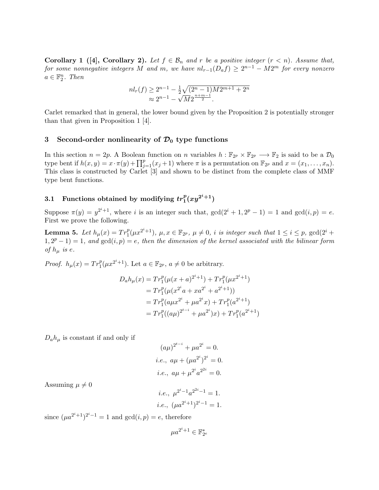**Corollary 1** ([4], Corollary 2). Let  $f \in \mathcal{B}_n$  and r be a positive integer  $(r < n)$ . Assume that, for some nonnegative integers M and m, we have  $nl_{r-1}(D_af)\geq 2^{n-1}-M2^m$  for every nonzero  $a \in \mathbb{F}_2^n$ . Then

$$
nl_r(f) \ge 2^{n-1} - \frac{1}{2} \sqrt{(2^n - 1)M2^{m+1} + 2^n}
$$
  
 
$$
\approx 2^{n-1} - \sqrt{M}2^{\frac{n+m-1}{2}}.
$$

Carlet remarked that in general, the lower bound given by the Proposition 2 is potentially stronger than that given in Proposition 1 [4].

### 3 Second-order nonlinearity of  $\mathcal{D}_0$  type functions

In this section  $n = 2p$ . A Boolean function on n variables  $h : \mathbb{F}_{2^p} \times \mathbb{F}_{2^p} \longrightarrow \mathbb{F}_2$  is said to be a  $\mathcal{D}_0$ type bent if  $h(x, y) = x \cdot \pi(y) + \prod_{j=1}^p (x_j + 1)$  where  $\pi$  is a permutation on  $\mathbb{F}_{2^p}$  and  $x = (x_1, \ldots, x_n)$ . This class is constructed by Carlet [3] and shown to be distinct from the complete class of MMF type bent functions.

# 3.1 Functions obtained by modifying  $tr_1^p(xy^{2^i+1})$

Suppose  $\pi(y) = y^{2^i+1}$ , where i is an integer such that,  $gcd(2^i + 1, 2^p - 1) = 1$  and  $gcd(i, p) = e$ . First we prove the following.

**Lemma 5.** Let  $h_\mu(x) = Tr_1^p(\mu x^{2^i+1}), \mu, x \in \mathbb{F}_{2^p}, \mu \neq 0, i$  is integer such that  $1 \le i \le p$ ,  $\gcd(2^i +$  $1, 2^p - 1) = 1$ , and  $gcd(i, p) = e$ , then the dimension of the kernel associated with the bilinear form of  $h_{\mu}$  is e.

*Proof.*  $h_{\mu}(x) = Tr_1^p(\mu x^{2^i+1})$ . Let  $a \in \mathbb{F}_{2^p}, a \neq 0$  be arbitrary.

$$
D_a h_\mu(x) = Tr_1^p (\mu(x+a)^{2^i+1}) + Tr_1^p (\mu x^{2^i+1})
$$
  
=  $Tr_1^p (\mu(x^{2^i}a + xa^{2^i} + a^{2^i+1}))$   
=  $Tr_1^p (a\mu x^{2^i} + \mu a^{2^i}x) + Tr_1^p (a^{2^i+1})$   
=  $Tr_1^p ((a\mu)^{2^{t-i}} + \mu a^{2^i})x) + Tr_1^p (a^{2^i+1})$ 

 $D_a h_\mu$  is constant if and only if

$$
(a\mu)^{2^{t-i}} + \mu a^{2^i} = 0.
$$
  
*i.e.*,  $a\mu + (\mu a^{2^i})^{2^i} = 0.$   
*i.e.*,  $a\mu + \mu^{2^i} a^{2^{2i}} = 0.$ 

Assuming  $\mu \neq 0$ 

*i.e.*, 
$$
\mu^{2^i - 1} a^{2^{i-1}} = 1
$$
.  
*i.e.*,  $(\mu a^{2^i + 1})^{2^i - 1} = 1$ .

since  $(\mu a^{2^i+1})^{2^i-1} = 1$  and  $gcd(i, p) = e$ , therefore

$$
\mu a^{2^i+1} \in \mathbb{F}_{2^e}^*
$$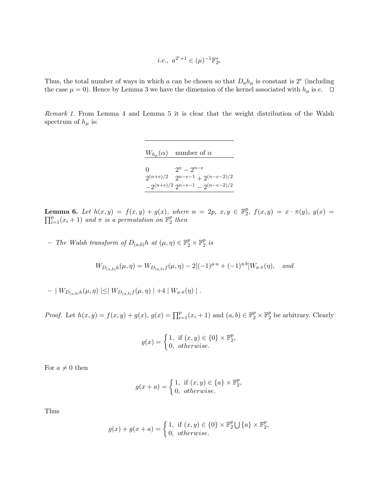$$
i.e.,\ a^{2^i+1}\in (\mu)^{-1}\mathbb{F}_{2^e}^*
$$

Thus, the total number of ways in which a can be chosen so that  $D_a h_\mu$  is constant is  $2^e$  (including the case  $\mu = 0$ ). Hence by Lemma 3 we have the dimension of the kernel associated with  $h_{\mu}$  is  $e$ .  $\Box$ 

Remark 1. From Lemma 4 and Lemma 5 it is clear that the weight distribution of the Walsh spectrum of  $h_{\mu}$  is:

 $W_{h_{\mu}}(\alpha)$  number of  $\alpha$ 

| 0 | $2^n - 2^{n-e}$                           |
|---|-------------------------------------------|
|   | $2^{(n+e)/2}$ $2^{n-e-1} + 2^{(n-e-2)/2}$ |
|   | $-2^{(n+e)/2} 2^{n-e-1} - 2^{(n-e-2)/2}$  |

**Lemma 6.** Let  $h(x,y) = f(x,y) + g(x)$ , where  $n = 2p$ ,  $x, y \in \mathbb{F}_2^p$  $\int_2^p f(x,y) = x \cdot \pi(y), \ g(x) =$  $\prod_{i=1}^{p}(x_i+1)$  and  $\pi$  is a permutation on  $\mathbb{F}_2^p$  $\frac{p}{2}$  then

- The Walsh transform of  $D_{(a,b)}h$  at  $(\mu, \eta) \in \mathbb{F}_2^p \times \mathbb{F}_2^p$  $\frac{p}{2}$  is

$$
W_{D_{(a,b)}h}(\mu,\eta) = W_{D_{(a,b)}f}(\mu,\eta) - 2[(-1)^{\mu \cdot a} + (-1)^{\eta \cdot b}]W_{a \cdot \pi}(\eta), \quad \text{and}
$$

–  $| W_{D_{(a,b)}h}(\mu, \eta) | \leq | W_{D_{(a,b)}f}(\mu, \eta) | + 4 | W_{a \cdot \pi}(\eta) |$ .

*Proof.* Let  $h(x, y) = f(x, y) + g(x), g(x) = \prod_{i=1}^{p} (x_i + 1)$  and  $(a, b) \in \mathbb{F}_2^p \times \mathbb{F}_2^p$  $_2^p$  be arbitrary. Clearly

$$
g(x) = \begin{cases} 1, & \text{if } (x, y) \in \{0\} \times \mathbb{F}_2^p, \\ 0, & otherwise. \end{cases}
$$

For  $a \neq 0$  then

$$
g(x+a) = \begin{cases} 1, & \text{if } (x,y) \in \{a\} \times \mathbb{F}_2^p, \\ 0, & otherwise. \end{cases}
$$

Thus

$$
g(x) + g(x+a) = \begin{cases} 1, & \text{if } (x, y) \in \{0\} \times \mathbb{F}_2^p \bigcup \{a\} \times \mathbb{F}_2^p, \\ 0, & otherwise. \end{cases}
$$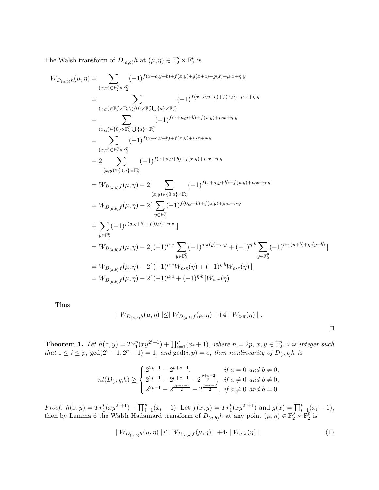The Walsh transform of  $D_{(a,b)}h$  at  $(\mu, \eta) \in \mathbb{F}_2^p \times \mathbb{F}_2^p$  $\frac{p}{2}$  is

$$
W_{D_{(a,b)}h}(\mu,\eta) = \sum_{(x,y)\in\mathbb{F}_{2}^{p} \times \mathbb{F}_{2}^{p}} (-1)^{f(x+a,y+b)+f(x,y)+g(x+a)+g(x)+\mu \cdot x+\eta \cdot y}
$$
  
\n
$$
= \sum_{(x,y)\in\mathbb{F}_{2}^{p} \times \mathbb{F}_{2}^{p}\backslash(\{0\} \times \mathbb{F}_{2}^{p} \cup \{a\} \times \mathbb{F}_{2}^{p})} (-1)^{f(x+a,y+b)+f(x,y)+\mu \cdot x+\eta \cdot y}
$$
  
\n
$$
- \sum_{(x,y)\in\{0\} \times \mathbb{F}_{2}^{p} \cup \{a\} \times \mathbb{F}_{2}^{p}} (-1)^{f(x+a,y+b)+f(x,y)+\mu \cdot x+\eta \cdot y}
$$
  
\n
$$
= \sum_{(x,y)\in\mathbb{F}_{2}^{p} \times \mathbb{F}_{2}^{p}} (-1)^{f(x+a,y+b)+f(x,y)+\mu \cdot x+\eta \cdot y}
$$
  
\n
$$
- 2 \sum_{(x,y)\in\{0,a\} \times \mathbb{F}_{2}^{p}} (-1)^{f(x+a,y+b)+f(x,y)+\mu \cdot x+\eta \cdot y}
$$
  
\n
$$
= W_{D_{(a,b)}f}(\mu,\eta) - 2 \sum_{(x,y)\in\{0,a\} \times \mathbb{F}_{2}^{p}} (-1)^{f(x+a,y+b)+f(x,y)+\mu \cdot x+\eta \cdot y}
$$
  
\n
$$
= W_{D_{(a,b)}f}(\mu,\eta) - 2[\sum_{y\in\mathbb{F}_{2}^{p}} (-1)^{f(0,y+b)+f(a,y)+\mu \cdot a+\eta \cdot y}
$$
  
\n
$$
+ \sum_{y\in\mathbb{F}_{2}^{p}} (-1)^{f(a,y+b)+f(0,y)+\eta \cdot y}]
$$
  
\n
$$
= W_{D_{(a,b)}f}(\mu,\eta) - 2[(-1)^{\mu \cdot a} \sum_{y\in\mathbb{F}_{2}^{p}} (-1)^{a \cdot \pi(y)+\eta \cdot y} + (-1)^{\eta \cdot b} \sum_{y\in\mathbb{F}_{2}^{p}} (-1)^{a \cdot \pi(y+b)+\eta \cdot (y+b)}
$$
  
\n
$$
= W_{D_{(a,b)}f}(\mu,\eta
$$

Thus

$$
| W_{D_{(a,b)}h}(\mu, \eta) | \leq | W_{D_{(a,b)}f}(\mu, \eta) | + 4 | W_{a \cdot \pi}(\eta) |.
$$

 $\Box$ 

**Theorem 1.** Let  $h(x, y) = Tr_1^p(xy^{2^i+1}) + \prod_{i=1}^p (x_i + 1)$ , where  $n = 2p$ ,  $x, y \in \mathbb{F}_2^p$  $2\,$ , i is integer such that  $1 \leq i \leq p$ ,  $gcd(2^i + 1, 2^p - 1) = 1$ , and  $gcd(i, p) = e$ , then nonlinearity of  $D_{(a,b)}h$  is

$$
nl(D_{(a,b)}h) \ge \begin{cases} 2^{2p-1} - 2^{p+e-1}, & \text{if } a = 0 \text{ and } b \ne 0, \\ 2^{2p-1} - 2^{p+e-1} - 2^{\frac{p+e+2}{2}}, & \text{if } a \ne 0 \text{ and } b \ne 0, \\ 2^{2p-1} - 2^{\frac{3p+e-2}{2}} - 2^{\frac{p+e+2}{2}}, & \text{if } a \ne 0 \text{ and } b = 0. \end{cases}
$$

*Proof.*  $h(x,y) = Tr_1^p(xy^{2^i+1}) + \prod_{i=1}^p (x_i+1)$ . Let  $f(x,y) = Tr_1^p(xy^{2^i+1})$  and  $g(x) = \prod_{i=1}^p (x_i+1)$ , then by Lemma 6 the Walsh Hadamard transform of  $D_{(a,b)}h$  at any point  $(\mu, \eta) \in \mathbb{F}_2^p \times \mathbb{F}_2^p$  $\frac{p}{2}$  is

$$
| W_{D_{(a,b)}h}(\mu, \eta) | \leq | W_{D_{(a,b)}f}(\mu, \eta) | + 4 \cdot | W_{a \cdot \pi}(\eta) | \tag{1}
$$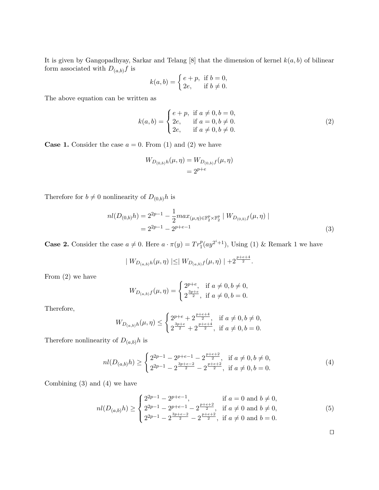It is given by Gangopadhyay, Sarkar and Telang [8] that the dimension of kernel  $k(a, b)$  of bilinear form associated with  ${\cal D}_{(a,b)}f$  is

$$
k(a,b) = \begin{cases} e+p, & \text{if } b=0, \\ 2e, & \text{if } b \neq 0. \end{cases}
$$

The above equation can be written as

$$
k(a,b) = \begin{cases} e+p, & \text{if } a \neq 0, b = 0, \\ 2e, & \text{if } a = 0, b \neq 0. \\ 2e, & \text{if } a \neq 0, b \neq 0. \end{cases}
$$
 (2)

**Case 1.** Consider the case  $a = 0$ . From (1) and (2) we have

$$
W_{D_{(0,b)}h}(\mu, \eta) = W_{D_{(0,b)}f}(\mu, \eta)
$$
  
=  $2^{p+e}$ 

Therefore for  $b \neq 0$  nonlinearity of  $D_{(0,b)}h$  is

$$
nl(D_{(0,b)}h) = 2^{2p-1} - \frac{1}{2} max_{(\mu,\eta) \in \mathbb{F}_2^p \times \mathbb{F}_2^p} |W_{D_{(0,b)}f}(\mu,\eta)|
$$
  
= 
$$
2^{2p-1} - 2^{p+e-1}
$$
 (3)

**Case 2.** Consider the case  $a \neq 0$ . Here  $a \cdot \pi(y) = Tr_1^p(ay^{2^i+1})$ , Using (1) & Remark 1 we have

$$
| W_{D_{(a,b)}h}(\mu, \eta) | \leq | W_{D_{(a,b)}f}(\mu, \eta) | + 2^{\frac{p+e+4}{2}}.
$$

From (2) we have

$$
W_{D_{(a,b)}f}(\mu,\eta) = \begin{cases} 2^{p+e}, & \text{if } a \neq 0, b \neq 0, \\ 2^{\frac{3p+e}{2}}, & \text{if } a \neq 0, b = 0. \end{cases}
$$

Therefore,

$$
W_{D_{(a,b)}h}(\mu,\eta) \le \begin{cases} 2^{p+e} + 2^{\frac{p+e+4}{2}}, & \text{if } a \neq 0, b \neq 0, \\ 2^{\frac{3p+e}{2}} + 2^{\frac{p+e+4}{2}}, & \text{if } a \neq 0, b = 0. \end{cases}
$$

Therefore nonlinearity of  $D_{(a,b)}h$  is

$$
nl(D_{(a,b)}h) \ge \begin{cases} 2^{2p-1} - 2^{p+e-1} - 2^{\frac{p+e+2}{2}}, & \text{if } a \ne 0, b \ne 0, \\ 2^{2p-1} - 2^{\frac{3p+e-2}{2}} - 2^{\frac{p+e+2}{2}}, & \text{if } a \ne 0, b = 0. \end{cases}
$$
(4)

Combining (3) and (4) we have

$$
nl(D_{(a,b)}h) \ge \begin{cases} 2^{2p-1} - 2^{p+e-1}, & \text{if } a = 0 \text{ and } b \ne 0, \\ 2^{2p-1} - 2^{p+e-1} - 2^{\frac{p+e+2}{2}}, & \text{if } a \ne 0 \text{ and } b \ne 0, \\ 2^{2p-1} - 2^{\frac{3p+e-2}{2}} - 2^{\frac{p+e+2}{2}}, & \text{if } a \ne 0 \text{ and } b = 0. \end{cases}
$$
(5)

 $\Box$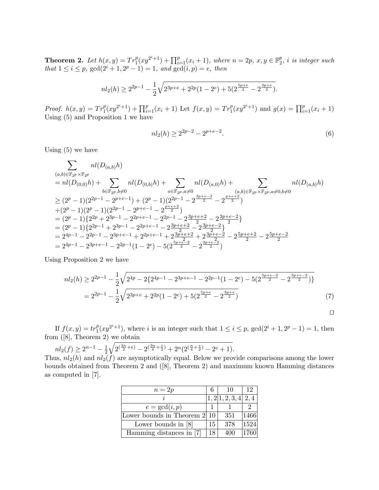**Theorem 2.** Let  $h(x, y) = Tr_1^p(xy^{2^i+1}) + \prod_{i=1}^p (x_i + 1)$ , where  $n = 2p$ ,  $x, y \in \mathbb{F}_2^p$  $\frac{p}{2}$ , i is integer such that  $1 \leq i \leq p$ ,  $gcd(2^i + 1, 2^p - 1) = 1$ , and  $gcd(i, p) = e$ , then

$$
nl_2(h) \ge 2^{2p-1} - \frac{1}{2}\sqrt{2^{3p+e} + 2^{2p}(1-2^e) + 5(2^{\frac{5p+e}{2}} - 2^{\frac{3p+e}{2}})}.
$$

*Proof.*  $h(x,y) = Tr_1^p(xy^{2^i+1}) + \prod_{i=1}^p(x_i+1)$  Let  $f(x,y) = Tr_1^p(xy^{2^i+1})$  and  $g(x) = \prod_{i=1}^p(x_i+1)$ Using (5) and Proposition 1 we have

$$
nl_2(h) \ge 2^{2p-2} - 2^{p+e-2}.\tag{6}
$$

Using (5) we have

$$
\sum_{(a,b)\in\mathbb{F}_{2^p}\times\mathbb{F}_{2^p}} n l(D_{(a,b)}h)
$$
\n
$$
= n l(D_{(0,0)}h) + \sum_{b\in\mathbb{F}_{2^p}, b\neq 0} n l(D_{(0,b)}h) + \sum_{a\in\mathbb{F}_{2^p}, a\neq 0} n l(D_{(a,0)}h) + \sum_{(a,b)\in\mathbb{F}_{2^p}\times\mathbb{F}_{2^p}, a\neq 0, b\neq 0} n l(D_{(a,b)}h)
$$
\n
$$
\geq (2^p - 1)(2^{2p-1} - 2^{p+e-1}) + (2^p - 1)(2^{2p-1} - 2^{\frac{3p+e-2}{2}} - 2^{\frac{p+e+2}{2}})
$$
\n
$$
+ (2^p - 1)(2^p - 1)(2^{2p-1} - 2^{p+e-1} - 2^{\frac{p+e+2}{2}})
$$
\n
$$
= (2^p - 1)\{2^{2p} + 2^{3p-1} - 2^{2p+e-1} - 2^{2p-1} - 2^{\frac{3p+e+2}{2}} - 2^{\frac{3p+e-2}{2}}\}
$$
\n
$$
= (2^p - 1)\{2^{2p-1} + 2^{3p-1} - 2^{2p+e-1} - 2^{\frac{3p+e+2}{2}} - 2^{\frac{3p+e-2}{2}}\}
$$
\n
$$
= 2^{4p-1} - 2^{2p-1} - 2^{3p+e-1} + 2^{2p+e-1} + 2^{\frac{3p+e+2}{2}} + 2^{\frac{3p+e-2}{2}} - 2^{\frac{5p+e+2}{2}} - 2^{\frac{5p+e-2}{2}}
$$
\n
$$
= 2^{4p-1} - 2^{3p+e-1} - 2^{2p-1}(1 - 2^e) - 5(2^{\frac{5p+e-2}{2}} - 2^{\frac{3p+e-2}{2}})
$$

Using Proposition 2 we have

$$
nl_2(h) \ge 2^{2p-1} - \frac{1}{2} \sqrt{2^{4p} - 2\{2^{4p-1} - 2^{3p+e-1} - 2^{2p-1}(1-2^e) - 5(2^{\frac{5p+e-2}{2}} - 2^{\frac{3p+e-2}{2}})\}}
$$
  
=  $2^{2p-1} - \frac{1}{2} \sqrt{2^{3p+e} + 2^{2p}(1-2^e) + 5(2^{\frac{5p+e}{2}} - 2^{\frac{3p+e}{2}})}$  (7)

If  $f(x, y) = tr_1^p(xy^{2^i+1})$ , where i is an integer such that  $1 \le i \le p$ ,  $gcd(2^i + 1, 2^p - 1) = 1$ , then from ([8], Theorem 2) we obtain

$$
nl_2(f) \ge 2^{n-1} - \frac{1}{2} \sqrt{2^{\left(\frac{3n}{2} + e\right)} - 2^{\left(\frac{3n}{4} + \frac{e}{2}\right)} + 2^n (2^{\left(\frac{n}{4} + \frac{e}{2}\right)} - 2^e + 1)}.
$$

Thus,  $nl_2(h)$  and  $nl_2(f)$  are asymptotically equal. Below we provide comparisons among the lower bounds obtained from Theorem 2 and ([8], Theorem 2) and maximum known Hamming distances as computed in [7].

| $n=2p$                       |    | 10              | 12   |
|------------------------------|----|-----------------|------|
|                              |    | 1,2 1,2,3,4 2,4 |      |
| $e = \gcd(i, p)$             |    |                 |      |
| Lower bounds in Theorem 2 10 |    | 351             | 1466 |
| Lower bounds in $[8]$        |    | 378             | 1524 |
| Hamming distances in [7]     | 18 | 400             |      |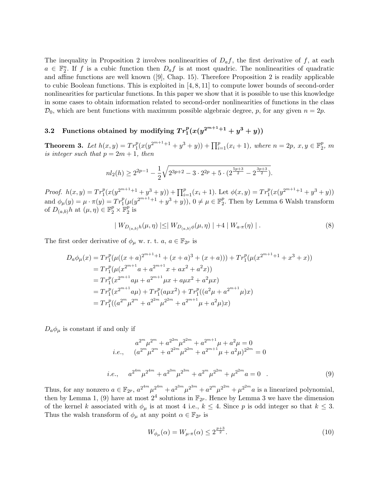The inequality in Proposition 2 involves nonlinearities of  $D_a f$ , the first derivative of f, at each  $a \in \mathbb{F}_2^n$ . If f is a cubic function then  $D_a f$  is at most quadric. The nonlinearities of quadratic and affine functions are well known ([9], Chap. 15). Therefore Proposition 2 is readily applicable to cubic Boolean functions. This is exploited in [4, 8, 11] to compute lower bounds of second-order nonlinearities for particular functions. In this paper we show that it is possible to use this knowledge in some cases to obtain information related to second-order nonlinearities of functions in the class  $\mathcal{D}_0$ , which are bent functions with maximum possible algebraic degree, p, for any given  $n = 2p$ .

# 3.2 Functions obtained by modifying  $Tr_1^p(x(y^{2^{m+1}+1}+y^3+y))$

**Theorem 3.** Let  $h(x, y) = Tr_1^p(x(y^{2^{m+1}+1} + y^3 + y)) + \prod_{i=1}^p(x_i + 1)$ , where  $n = 2p$ ,  $x, y \in \mathbb{F}_2^p$  $\frac{p}{2}$ ,  $m$ is integer such that  $p = 2m + 1$ , then

$$
nl_2(h) \ge 2^{2p-1} - \frac{1}{2}\sqrt{2^{3p+2} - 3 \cdot 2^{2p} + 5 \cdot (2^{\frac{5p+3}{2}} - 2^{\frac{3p+3}{2}})}.
$$

Proof.  $h(x,y) = Tr_1^p(x(y^{2^{m+1}+1} + y^3 + y)) + \prod_{i=1}^p(x_i+1)$ . Let  $\phi(x,y) = Tr_1^p(x(y^{2^{m+1}+1} + y^3 + y))$ and  $\phi_{\mu}(y) = \mu \cdot \pi(y) = Tr_1^p(\mu(y^{2^{m+1}+1} + y^3 + y)), 0 \neq \mu \in \mathbb{F}_2^p$  $2^p$ . Then by Lemma 6 Walsh transform of  $D_{(a,b)}h$  at  $(\mu, \eta) \in \mathbb{F}_2^p \times \mathbb{F}_2^p$  $\frac{p}{2}$  is

$$
| W_{D_{(a,b)}h}(\mu, \eta) | \leq | W_{D_{(a,b)}\phi}(\mu, \eta) | + 4 | W_{a \cdot \pi}(\eta) | .
$$
 (8)

The first order derivative of  $\phi_{\mu}$  w. r. t. a,  $a \in \mathbb{F}_{2^p}$  is

$$
D_a \phi_\mu(x) = Tr_1^p (\mu((x+a)^{2^{m+1}+1} + (x+a)^3 + (x+a))) + Tr_1^p (\mu(x^{2^{m+1}+1} + x^3 + x))
$$
  
\n
$$
= Tr_1^p (\mu(x^{2^{m+1}}a + a^{2^{m+1}}x + ax^2 + a^2x))
$$
  
\n
$$
= Tr_1^p (x^{2^{m+1}}a\mu + a^{2^{m+1}}\mu x + a\mu x^2 + a^2\mu x)
$$
  
\n
$$
= Tr_1^p (x^{2^{m+1}}a\mu) + Tr_1^p (a\mu x^2) + Tr_1^p ((a^2\mu + a^{2^{m+1}}\mu)x)
$$
  
\n
$$
= Tr_1^p ((a^{2^m}\mu^{2^m} + a^{2^{2m}}\mu^{2^{2m}} + a^{2^{m+1}}\mu + a^2\mu)x)
$$

 $D_a\phi_\mu$  is constant if and only if

$$
a^{2^{m}} \mu^{2^{m}} + a^{2^{2m}} \mu^{2^{m}} + a^{2^{m+1}} \mu + a^{2} \mu = 0
$$
  
*i.e.*, 
$$
(a^{2^{m}} \mu^{2^{m}} + a^{2^{2m}} \mu^{2^{2m}} + a^{2^{m+1}} \mu + a^{2} \mu)^{2^{2m}} = 0
$$
  
*i.e.*, 
$$
a^{2^{4m}} \mu^{2^{4m}} + a^{2^{3m}} \mu^{2^{3m}} + a^{2^{m}} \mu^{2^{2m}} + \mu^{2^{2m}} a = 0
$$
 (9)

Thus, for any nonzero  $a \in \mathbb{F}_{2^p}$ ,  $a^{2^{4m}} \mu^{2^{4m}} + a^{2^{3m}} \mu^{2^{3m}} + a^{2^m} \mu^{2^{2m}} + \mu^{2^{2m}} a$  is a linearized polynomial, then by Lemma 1, (9) have at most  $2^4$  solutions in  $\mathbb{F}_{2^p}$ . Hence by Lemma 3 we have the dimension of the kernel k associated with  $\phi_{\mu}$  is at most 4 i.e.,  $k \leq 4$ . Since p is odd integer so that  $k \leq 3$ . Thus the walsh transform of  $\phi_{\mu}$  at any point  $\alpha \in \mathbb{F}_{2^p}$  is

$$
W_{\phi_{\mu}}(\alpha) = W_{\mu \cdot \pi}(\alpha) \le 2^{\frac{p+3}{2}}.
$$
\n(10)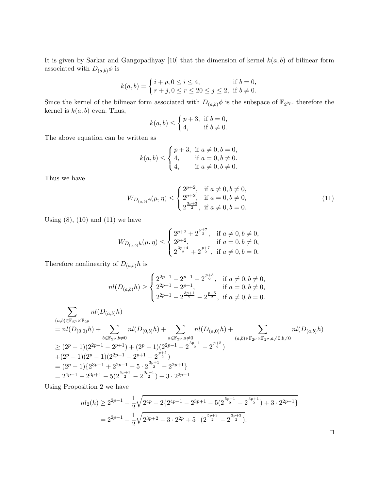It is given by Sarkar and Gangopadhyay [10] that the dimension of kernel  $k(a, b)$  of bilinear form associated with  $D_{(a,b)}\phi$  is

$$
k(a, b) = \begin{cases} i + p, 0 \le i \le 4, & \text{if } b = 0, \\ r + j, 0 \le r \le 20 \le j \le 2, & \text{if } b \neq 0. \end{cases}
$$

Since the kernel of the bilinear form associated with  $D_{(a,b)}\phi$  is the subspace of  $\mathbb{F}_{2^{2p}}$ . therefore the kernel is  $k(a, b)$  even. Thus,

$$
k(a,b) \le \begin{cases} p+3, & \text{if } b=0, \\ 4, & \text{if } b \neq 0. \end{cases}
$$

The above equation can be written as

$$
k(a, b) \le \begin{cases} p+3, & \text{if } a \neq 0, b = 0, \\ 4, & \text{if } a = 0, b \neq 0. \\ 4, & \text{if } a \neq 0, b \neq 0. \end{cases}
$$

Thus we have

$$
W_{D_{(a,b)}\phi}(\mu,\eta) \le \begin{cases} 2^{p+2}, & \text{if } a \neq 0, b \neq 0, \\ 2^{p+2}, & \text{if } a = 0, b \neq 0, \\ 2^{\frac{3p+3}{2}}, & \text{if } a \neq 0, b = 0. \end{cases}
$$
(11)

Using  $(8)$ ,  $(10)$  and  $(11)$  we have

$$
W_{D_{(a,b)}h}(\mu,\eta) \le \begin{cases} 2^{p+2} + 2^{\frac{p+7}{2}}, & \text{if } a \neq 0, b \neq 0, \\ 2^{p+2}, & \text{if } a = 0, b \neq 0, \\ 2^{\frac{3p+4}{2}} + 2^{\frac{p+7}{2}}, & \text{if } a \neq 0, b = 0. \end{cases}
$$

Therefore nonlinearity of  $D_{(a,b)}h$  is

$$
nl(D_{(a,b)}h) \ge \begin{cases} 2^{2p-1} - 2^{p+1} - 2^{\frac{p+5}{2}}, & \text{if } a \ne 0, b \ne 0, \\ 2^{2p-1} - 2^{p+1}, & \text{if } a = 0, b \ne 0, \\ 2^{2p-1} - 2^{\frac{3p+1}{2}} - 2^{\frac{p+5}{2}}, & \text{if } a \ne 0, b = 0. \end{cases}
$$

$$
\sum_{(a,b)\in\mathbb{F}_{2^p}\times\mathbb{F}_{2^p}} n l(D_{(a,b)}h)
$$
\n
$$
= n l(D_{(0,0)}h) + \sum_{b\in\mathbb{F}_{2^p}, b\neq 0} n l(D_{(0,b)}h) + \sum_{a\in\mathbb{F}_{2^p}, a\neq 0} n l(D_{(a,0)}h) + \sum_{b\in\mathbb{F}_{2^p}, b\neq 0} n l(D_{(a,b)}h)
$$
\n
$$
\geq (2^p - 1)(2^{2p-1} - 2^{p+1}) + (2^p - 1)(2^{2p-1} - 2^{\frac{3p+1}{2}} - 2^{\frac{p+5}{2}})
$$
\n
$$
+ (2^p - 1)(2^p - 1)(2^{2p-1} - 2^{p+1} - 2^{\frac{p+5}{2}})
$$
\n
$$
= (2^p - 1)\{2^{3p-1} + 2^{2p-1} - 5 \cdot 2^{\frac{3p+1}{2}} - 2^{2p+1}\}
$$
\n
$$
= 2^{4p-1} - 2^{3p+1} - 5(2^{\frac{5p+1}{2}} - 2^{\frac{3p+1}{2}}) + 3 \cdot 2^{2p-1}
$$

Using Proposition 2 we have

$$
nl_2(h) \ge 2^{2p-1} - \frac{1}{2}\sqrt{2^{4p} - 2\{2^{4p-1} - 2^{3p+1} - 5(2^{\frac{5p+1}{2}} - 2^{\frac{3p+1}{2}}) + 3 \cdot 2^{2p-1}\}}
$$
  
=  $2^{2p-1} - \frac{1}{2}\sqrt{2^{3p+2} - 3 \cdot 2^{2p} + 5 \cdot (2^{\frac{5p+3}{2}} - 2^{\frac{3p+3}{2}})}.$ 

 $\Box$